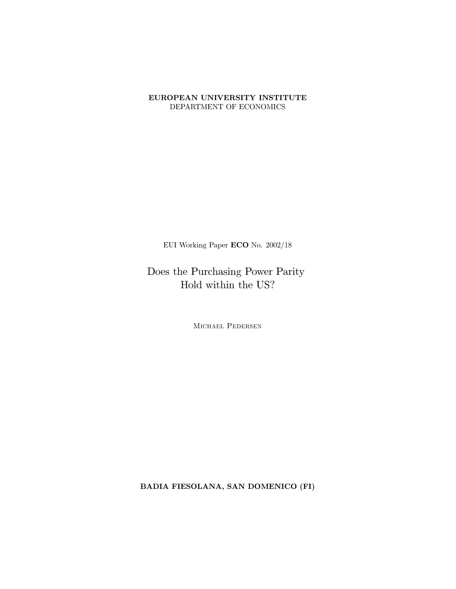#### EUROPEAN UNIVERSITY INSTITUTE DEPARTMENT OF ECONOMICS

EUI Working Paper ECO No.  $2002/18$ 

Does the Purchasing Power Parity Hold within the  $\ensuremath{\mathrm{US}}\xspace?$ 

MICHAEL PEDERSEN

BADIA FIESOLANA, SAN DOMENICO (FI)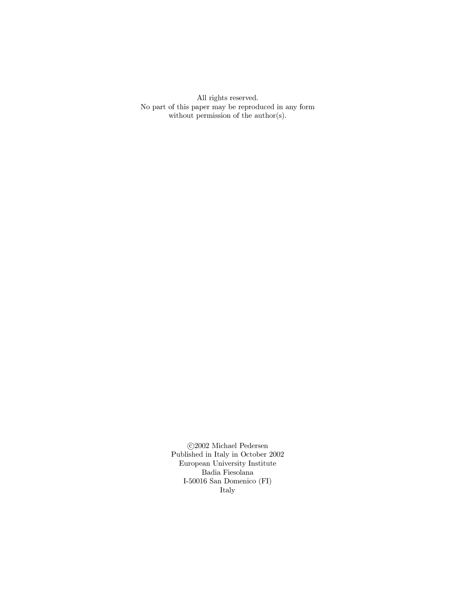All rights reserved. No part of this paper may be reproduced in any form without permission of the  $\text{author}(s)$ .

> $\odot$ 2002 Michael Pedersen Published in Italy in October 2002 European University Institute Badia Fiesolana I-50016 San Domenico $(\mathrm{FI})$ Italy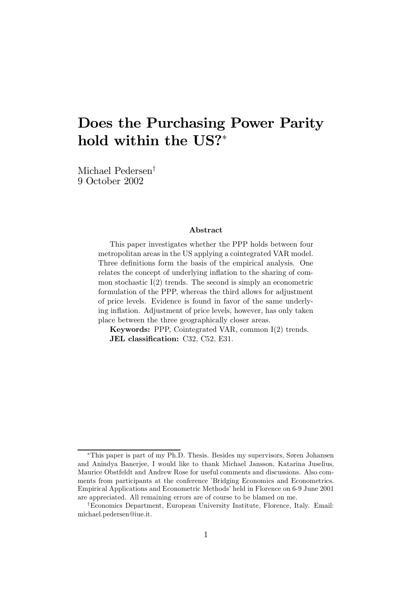# Does the Purchasing Power Parity hold within the US?<sup>∗</sup>

Michael Pedersen† 9 October 2002

#### Abstract

This paper investigates whether the PPP holds between four metropolitan areas in the US applying a cointegrated VAR model. Three definitions form the basis of the empirical analysis. One relates the concept of underlying inflation to the sharing of common stochastic  $I(2)$  trends. The second is simply an econometric formulation of the PPP, whereas the third allows for adjustment of price levels. Evidence is found in favor of the same underlying inflation. Adjustment of price levels, however, has only taken place between the three geographically closer areas.

Keywords: PPP, Cointegrated VAR, common I(2) trends. JEL classification: C32, C52, E31.

<sup>∗</sup>This paper is part of my Ph.D. Thesis. Besides my supervisors, Søren Johansen and Anindya Banerjee, I would like to thank Michael Jansson, Katarina Juselius, Maurice Obstfeldt and Andrew Rose for useful comments and discussions. Also comments from participants at the conference 'Bridging Economics and Econometrics. Empirical Applications and Econometric Methods' held in Florence on 6-9 June 2001 are appreciated. All remaining errors are of course to be blamed on me.

<sup>†</sup>Economics Department, European University Institute, Florence, Italy. Email: michael.pedersen@iue.it.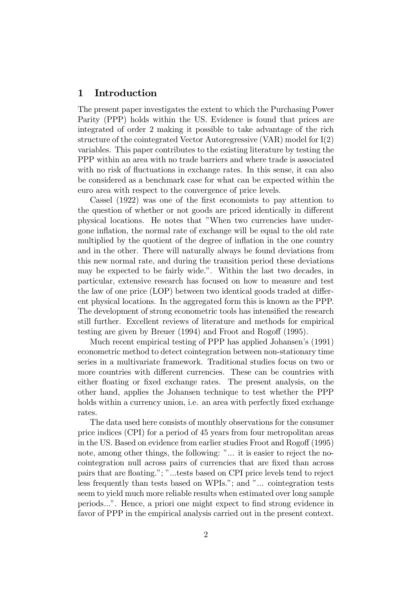### 1 Introduction

The present paper investigates the extent to which the Purchasing Power Parity (PPP) holds within the US. Evidence is found that prices are integrated of order 2 making it possible to take advantage of the rich structure of the cointegrated Vector Autoregressive (VAR) model for I(2) variables. This paper contributes to the existing literature by testing the PPP within an area with no trade barriers and where trade is associated with no risk of fluctuations in exchange rates. In this sense, it can also be considered as a benchmark case for what can be expected within the euro area with respect to the convergence of price levels.

Cassel (1922) was one of the first economists to pay attention to the question of whether or not goods are priced identically in different physical locations. He notes that "When two currencies have undergone inflation, the normal rate of exchange will be equal to the old rate multiplied by the quotient of the degree of inflation in the one country and in the other. There will naturally always be found deviations from this new normal rate, and during the transition period these deviations may be expected to be fairly wide.". Within the last two decades, in particular, extensive research has focused on how to measure and test the law of one price (LOP) between two identical goods traded at different physical locations. In the aggregated form this is known as the PPP. The development of strong econometric tools has intensified the research still further. Excellent reviews of literature and methods for empirical testing are given by Breuer (1994) and Froot and Rogoff (1995).

Much recent empirical testing of PPP has applied Johansen's (1991) econometric method to detect cointegration between non-stationary time series in a multivariate framework. Traditional studies focus on two or more countries with different currencies. These can be countries with either floating or fixed exchange rates. The present analysis, on the other hand, applies the Johansen technique to test whether the PPP holds within a currency union, i.e. an area with perfectly fixed exchange rates.

The data used here consists of monthly observations for the consumer price indices (CPI) for a period of 45 years from four metropolitan areas in the US. Based on evidence from earlier studies Froot and Rogoff (1995) note, among other things, the following: "... it is easier to reject the nocointegration null across pairs of currencies that are fixed than across pairs that are floating."; "...tests based on CPI price levels tend to reject less frequently than tests based on WPIs."; and "... cointegration tests seem to yield much more reliable results when estimated over long sample periods...". Hence, a priori one might expect to find strong evidence in favor of PPP in the empirical analysis carried out in the present context.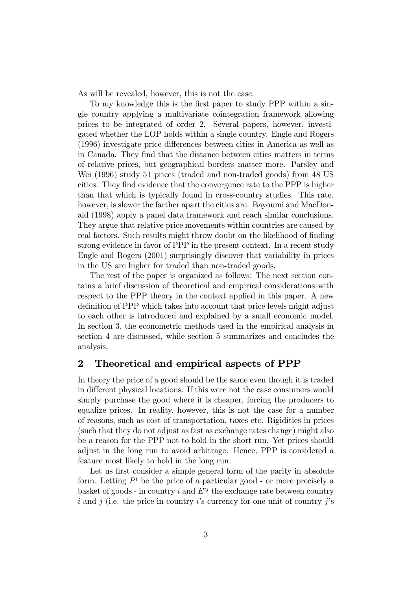As will be revealed, however, this is not the case.

To my knowledge this is the first paper to study PPP within a single country applying a multivariate cointegration framework allowing prices to be integrated of order 2. Several papers, however, investigated whether the LOP holds within a single country. Engle and Rogers (1996) investigate price differences between cities in America as well as in Canada. They find that the distance between cities matters in terms of relative prices, but geographical borders matter more. Parsley and Wei (1996) study 51 prices (traded and non-traded goods) from 48 US cities. They find evidence that the convergence rate to the PPP is higher than that which is typically found in cross-country studies. This rate, however, is slower the farther apart the cities are. Bayoumi and MacDonald (1998) apply a panel data framework and reach similar conclusions. They argue that relative price movements within countries are caused by real factors. Such results might throw doubt on the likelihood of finding strong evidence in favor of PPP in the present context. In a recent study Engle and Rogers (2001) surprisingly discover that variability in prices in the US are higher for traded than non-traded goods.

The rest of the paper is organized as follows: The next section contains a brief discussion of theoretical and empirical considerations with respect to the PPP theory in the context applied in this paper. A new definition of PPP which takes into account that price levels might adjust to each other is introduced and explained by a small economic model. In section 3, the econometric methods used in the empirical analysis in section 4 are discussed, while section 5 summarizes and concludes the analysis.

#### 2 Theoretical and empirical aspects of PPP

In theory the price of a good should be the same even though it is traded in different physical locations. If this were not the case consumers would simply purchase the good where it is cheaper, forcing the producers to equalize prices. In reality, however, this is not the case for a number of reasons, such as cost of transportation, taxes etc. Rigidities in prices (such that they do not adjust as fast as exchange rates change) might also be a reason for the PPP not to hold in the short run. Yet prices should adjust in the long run to avoid arbitrage. Hence, PPP is considered a feature most likely to hold in the long run.

Let us first consider a simple general form of the parity in absolute form. Letting  $P^i$  be the price of a particular good - or more precisely a basket of goods - in country i and  $E^{ij}$  the exchange rate between country i and j (i.e. the price in country i's currency for one unit of country j's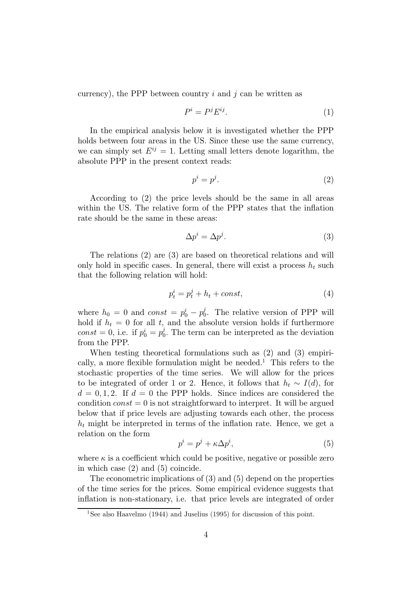currency), the PPP between country  $i$  and  $j$  can be written as

$$
P^i = P^j E^{ij}.\tag{1}
$$

In the empirical analysis below it is investigated whether the PPP holds between four areas in the US. Since these use the same currency, we can simply set  $E^{ij} = 1$ . Letting small letters denote logarithm, the absolute PPP in the present context reads:

$$
p^i = p^j. \tag{2}
$$

According to (2) the price levels should be the same in all areas within the US. The relative form of the PPP states that the inflation rate should be the same in these areas:

$$
\Delta p^i = \Delta p^j. \tag{3}
$$

The relations (2) are (3) are based on theoretical relations and will only hold in specific cases. In general, there will exist a process  $h_t$  such that the following relation will hold:

$$
p_t^i = p_t^j + h_t + const,
$$
\n<sup>(4)</sup>

where  $h_0 = 0$  and  $const = p_0^i - p_0^j$ . The relative version of PPP will hold if  $h_t = 0$  for all t, and the absolute version holds if furthermore const = 0, i.e. if  $p_0^i = p_0^j$ . The term can be interpreted as the deviation from the PPP.

When testing theoretical formulations such as (2) and (3) empirically, a more flexible formulation might be needed.<sup>1</sup> This refers to the stochastic properties of the time series. We will allow for the prices to be integrated of order 1 or 2. Hence, it follows that  $h_t \sim I(d)$ , for  $d = 0, 1, 2$ . If  $d = 0$  the PPP holds. Since indices are considered the condition  $const = 0$  is not straightforward to interpret. It will be argued below that if price levels are adjusting towards each other, the process  $h_t$  might be interpreted in terms of the inflation rate. Hence, we get a relation on the form

$$
p^i = p^j + \kappa \Delta p^i,\tag{5}
$$

where  $\kappa$  is a coefficient which could be positive, negative or possible zero in which case (2) and (5) coincide.

The econometric implications of (3) and (5) depend on the properties of the time series for the prices. Some empirical evidence suggests that inflation is non-stationary, i.e. that price levels are integrated of order

<sup>&</sup>lt;sup>1</sup>See also Haavelmo (1944) and Juselius (1995) for discussion of this point.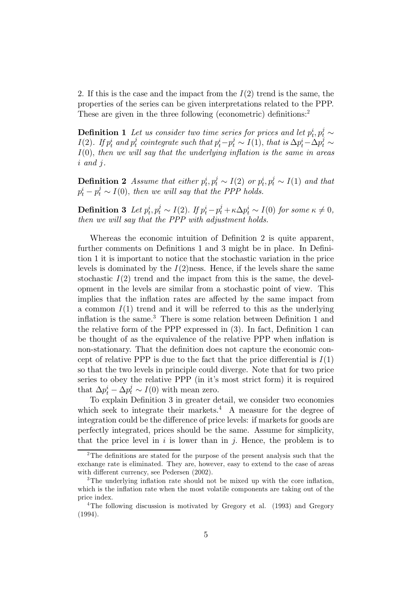2. If this is the case and the impact from the  $I(2)$  trend is the same, the properties of the series can be given interpretations related to the PPP. These are given in the three following (econometric) definitions:<sup>2</sup>

**Definition 1** Let us consider two time series for prices and let  $p_t^i, p_t^j \sim$  $I(2)$ . If  $p_t^i$  and  $p_t^j$  cointegrate such that  $p_t^i - p_t^j \sim I(1)$ , that is  $\Delta p_t^i - \Delta p_t^j \sim$  $I(0)$ , then we will say that the underlying inflation is the same in areas i and j.

**Definition 2** Assume that either  $p_t^i, p_t^j \sim I(2)$  or  $p_t^i, p_t^j \sim I(1)$  and that  $p_t^i - p_t^j \sim I(0)$ , then we will say that the PPP holds.

**Definition 3** Let  $p_t^i, p_t^j \sim I(2)$ . If  $p_t^i - p_t^j + \kappa \Delta p_t^i \sim I(0)$  for some  $\kappa \neq 0$ , then we will say that the PPP with adjustment holds.

Whereas the economic intuition of Definition 2 is quite apparent, further comments on Definitions 1 and 3 might be in place. In Definition 1 it is important to notice that the stochastic variation in the price levels is dominated by the  $I(2)$ ness. Hence, if the levels share the same stochastic  $I(2)$  trend and the impact from this is the same, the development in the levels are similar from a stochastic point of view. This implies that the inflation rates are affected by the same impact from a common  $I(1)$  trend and it will be referred to this as the underlying inflation is the same.<sup>3</sup> There is some relation between Definition 1 and the relative form of the PPP expressed in (3). In fact, Definition 1 can be thought of as the equivalence of the relative PPP when inflation is non-stationary. That the definition does not capture the economic concept of relative PPP is due to the fact that the price differential is  $I(1)$ so that the two levels in principle could diverge. Note that for two price series to obey the relative PPP (in it's most strict form) it is required that  $\Delta p_t^i - \Delta p_t^j \sim I(0)$  with mean zero.

To explain Definition 3 in greater detail, we consider two economies which seek to integrate their markets.<sup>4</sup> A measure for the degree of integration could be the difference of price levels: if markets for goods are perfectly integrated, prices should be the same. Assume for simplicity, that the price level in  $i$  is lower than in  $j$ . Hence, the problem is to

<sup>2</sup>The definitions are stated for the purpose of the present analysis such that the exchange rate is eliminated. They are, however, easy to extend to the case of areas with different currency, see Pedersen (2002).

<sup>&</sup>lt;sup>3</sup>The underlying inflation rate should not be mixed up with the core inflation, which is the inflation rate when the most volatile components are taking out of the price index.

<sup>&</sup>lt;sup>4</sup>The following discussion is motivated by Gregory et al. (1993) and Gregory (1994).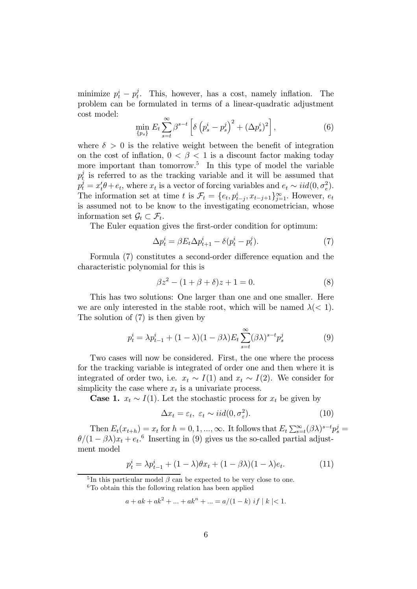minimize  $p_t^i - p_t^j$ . This, however, has a cost, namely inflation. The problem can be formulated in terms of a linear-quadratic adjustment cost model: - $\mathbb{R}^2$  $\overline{a}$ 

$$
\min_{\{p_s\}} E_t \sum_{s=t}^{\infty} \beta^{s-t} \left[ \delta \left( p_s^i - p_s^j \right)^2 + (\Delta p_s^i)^2 \right],\tag{6}
$$

where  $\delta > 0$  is the relative weight between the benefit of integration on the cost of inflation,  $0 < \beta < 1$  is a discount factor making today more important than tomorrow.<sup>5</sup> In this type of model the variable  $p_t^j$  is referred to as the tracking variable and it will be assumed that  $p_t^j = x_t^j \theta + e_t$ , where  $x_t$  is a vector of forcing variables and  $e_t \sim \text{iid}(0, \sigma_e^2)$ . The information set at time t is  $\mathcal{F}_t = \{e_t, p_{t-i}^i, x_{t-j+1}\}_{i=1}^{\infty}$ . However,  $e_t$ is assumed not to be know to the investigating econometrician, whose information set  $\mathcal{G}_t \subset \mathcal{F}_t$ .

The Euler equation gives the first-order condition for optimum:

$$
\Delta p_t^i = \beta E_t \Delta p_{t+1}^i - \delta(p_t^i - p_t^j). \tag{7}
$$

Formula (7) constitutes a second-order difference equation and the characteristic polynomial for this is

$$
\beta z^2 - (1 + \beta + \delta)z + 1 = 0.
$$
 (8)

This has two solutions: One larger than one and one smaller. Here we are only interested in the stable root, which will be named  $\lambda \leq 1$ . The solution of (7) is then given by

$$
p_t^i = \lambda p_{t-1}^i + (1 - \lambda)(1 - \beta \lambda) E_t \sum_{s=t}^{\infty} (\beta \lambda)^{s-t} p_s^j
$$
 (9)

Two cases will now be considered. First, the one where the process for the tracking variable is integrated of order one and then where it is integrated of order two, i.e.  $x_t \sim I(1)$  and  $x_t \sim I(2)$ . We consider for simplicity the case where  $x_t$  is a univariate process.

**Case 1.**  $x_t \sim I(1)$ . Let the stochastic process for  $x_t$  be given by

$$
\Delta x_t = \varepsilon_t, \ \varepsilon_t \sim \text{iid}(0, \sigma_\varepsilon^2). \tag{10}
$$

Then  $E_t(x_{t+h}) = x_t$  for  $h = 0, 1, ..., \infty$ . It follows that  $E_t \sum_{s=t}^{\infty} (\beta \lambda)^{s-t} p_s^j =$  $\theta/(1-\beta\lambda)x_t + e_t$ <sup>6</sup> Inserting in (9) gives us the so-called partial adjustment model

$$
p_t^i = \lambda p_{t-1}^i + (1 - \lambda)\theta x_t + (1 - \beta \lambda)(1 - \lambda)e_t.
$$
 (11)

<sup>&</sup>lt;sup>5</sup>In this particular model  $\beta$  can be expected to be very close to one.  $6T$ o obtain this the following relation has been applied

 $a + ak + ak^2 + \ldots + ak^n + \ldots = a/(1-k)$  if  $|k| < 1$ .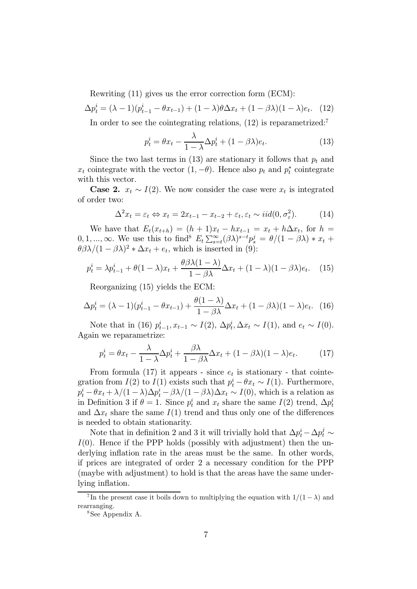Rewriting (11) gives us the error correction form (ECM):

$$
\Delta p_t^i = (\lambda - 1)(p_{t-1}^i - \theta x_{t-1}) + (1 - \lambda)\theta \Delta x_t + (1 - \beta \lambda)(1 - \lambda)e_t.
$$
 (12)

In order to see the cointegrating relations,  $(12)$  is reparametrized:<sup>7</sup>

$$
p_t^i = \theta x_t - \frac{\lambda}{1 - \lambda} \Delta p_t^i + (1 - \beta \lambda) e_t.
$$
 (13)

Since the two last terms in (13) are stationary it follows that  $p_t$  and  $x_t$  cointegrate with the vector  $(1, -\theta)$ . Hence also  $p_t$  and  $p_t^*$  cointegrate with this vector.

**Case 2.**  $x_t \sim I(2)$ . We now consider the case were  $x_t$  is integrated of order two:

$$
\Delta^2 x_t = \varepsilon_t \Leftrightarrow x_t = 2x_{t-1} - x_{t-2} + \varepsilon_t, \varepsilon_t \sim \text{iid}(0, \sigma_{\varepsilon}^2). \tag{14}
$$

We have that  $E_t(x_{t+h})=(h + 1)x_t - hx_{t-1} = x_t + h\Delta x_t$ , for  $h =$ We have that  $L_t(x_{t+h}) = (h+1)x_t - hx_{t-1} = x_t + h\Delta x_t$ , for  $h = 0, 1, ..., \infty$ . We use this to find<sup>8</sup>  $E_t \sum_{s=t}^{\infty} (\beta \lambda)^{s-t} p_s^j = \theta/(1 - \beta \lambda) * x_t +$  $\theta \beta \lambda/(1 - \beta \lambda)^2 * \Delta x_t + e_t$ , which is inserted in (9):

$$
p_t^i = \lambda p_{t-1}^i + \theta (1 - \lambda)x_t + \frac{\theta \beta \lambda (1 - \lambda)}{1 - \beta \lambda} \Delta x_t + (1 - \lambda)(1 - \beta \lambda)e_t.
$$
 (15)

Reorganizing (15) yields the ECM:

$$
\Delta p_t^i = (\lambda - 1)(p_{t-1}^i - \theta x_{t-1}) + \frac{\theta(1 - \lambda)}{1 - \beta \lambda} \Delta x_t + (1 - \beta \lambda)(1 - \lambda)e_t.
$$
 (16)

Note that in (16)  $p_{t-1}^i, x_{t-1} \sim I(2), \Delta p_t^i, \Delta x_t \sim I(1)$ , and  $e_t \sim I(0)$ . Again we reparametrize:

$$
p_t^i = \theta x_t - \frac{\lambda}{1 - \lambda} \Delta p_t^i + \frac{\beta \lambda}{1 - \beta \lambda} \Delta x_t + (1 - \beta \lambda)(1 - \lambda)e_t.
$$
 (17)

From formula (17) it appears - since  $e_t$  is stationary - that cointegration from  $I(2)$  to  $I(1)$  exists such that  $p_t^i - \theta x_t \sim I(1)$ . Furthermore,  $p_t^i - \theta x_t + \lambda/(1-\lambda)\Delta p_t^i - \beta \lambda/(1-\beta \lambda)\Delta x_t \sim I(0)$ , which is a relation as in Definition 3 if  $\theta = 1$ . Since  $p_t^i$  and  $x_t$  share the same  $I(2)$  trend,  $\Delta p_t^i$ and  $\Delta x_t$  share the same  $I(1)$  trend and thus only one of the differences is needed to obtain stationarity.

Note that in definition 2 and 3 it will trivially hold that  $\Delta p_t^i - \Delta p_t^j \sim$  $I(0)$ . Hence if the PPP holds (possibly with adjustment) then the underlying inflation rate in the areas must be the same. In other words, if prices are integrated of order 2 a necessary condition for the PPP (maybe with adjustment) to hold is that the areas have the same underlying inflation.

<sup>&</sup>lt;sup>7</sup>In the present case it boils down to multiplying the equation with  $1/(1 - \lambda)$  and rearranging.

<sup>8</sup>See Appendix A.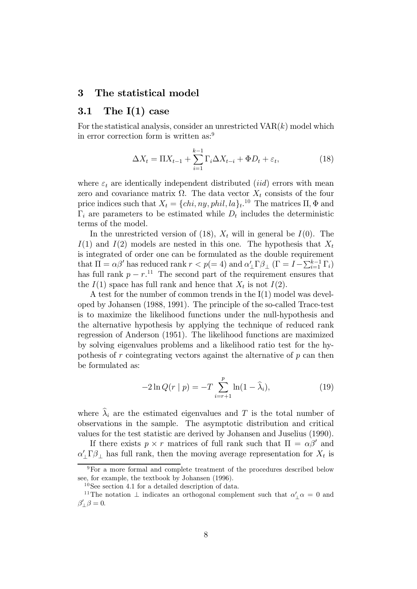#### 3 The statistical model

#### 3.1 The  $I(1)$  case

For the statistical analysis, consider an unrestricted  $VAR(k)$  model which in error correction form is written as:<sup>9</sup>

$$
\Delta X_t = \Pi X_{t-1} + \sum_{i=1}^{k-1} \Gamma_i \Delta X_{t-i} + \Phi D_t + \varepsilon_t, \tag{18}
$$

where  $\varepsilon_t$  are identically independent distributed *(iid)* errors with mean zero and covariance matrix  $\Omega$ . The data vector  $X_t$  consists of the four price indices such that  $X_t = \{chi, ny, phi, la\}_t$ <sup>10</sup> The matrices  $\Pi$ ,  $\Phi$  and  $\Gamma_i$  are parameters to be estimated while  $D_t$  includes the deterministic terms of the model.

In the unrestricted version of (18),  $X_t$  will in general be  $I(0)$ . The  $I(1)$  and  $I(2)$  models are nested in this one. The hypothesis that  $X_t$ is integrated of order one can be formulated as the double requirement that  $\Pi = \alpha \beta'$  has reduced rank  $r < p(= 4)$  and  $\alpha'_{\perp} \Gamma \beta_{\perp}$  ( $\Gamma = I - \sum_{i=1}^{k-1} \Gamma_i$ ) has full rank  $p - r$ <sup>11</sup>. The second part of the requirement ensures that the  $I(1)$  space has full rank and hence that  $X_t$  is not  $I(2)$ .

A test for the number of common trends in the I(1) model was developed by Johansen (1988, 1991). The principle of the so-called Trace-test is to maximize the likelihood functions under the null-hypothesis and the alternative hypothesis by applying the technique of reduced rank regression of Anderson (1951). The likelihood functions are maximized by solving eigenvalues problems and a likelihood ratio test for the hypothesis of  $r$  cointegrating vectors against the alternative of  $p$  can then be formulated as:

$$
-2\ln Q(r \mid p) = -T \sum_{i=r+1}^{p} \ln(1 - \hat{\lambda}_i), \tag{19}
$$

where  $\hat{\lambda}_i$  are the estimated eigenvalues and T is the total number of observations in the sample. The asymptotic distribution and critical values for the test statistic are derived by Johansen and Juselius (1990).

If there exists  $p \times r$  matrices of full rank such that  $\Pi = \alpha \beta'$  and  $\alpha' \Gamma \beta_{\perp}$  has full rank, then the moving average representation for  $X_t$  is

<sup>9</sup>For a more formal and complete treatment of the procedures described below see, for example, the textbook by Johansen (1996).

<sup>10</sup>See section 4.1 for a detailed description of data.

<sup>&</sup>lt;sup>11</sup>The notation  $\perp$  indicates an orthogonal complement such that  $\alpha'_{\perp}\alpha = 0$  and  $\beta'_{\perp} \beta = 0.$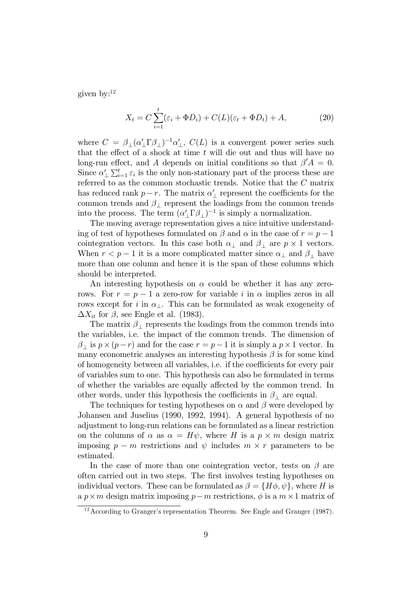given by:<sup>12</sup>

$$
X_t = C \sum_{i=1}^t (\varepsilon_i + \Phi D_i) + C(L)(\varepsilon_t + \Phi D_t) + A,\tag{20}
$$

where  $C = \beta_{\perp} (\alpha'_{\perp} \Gamma \beta_{\perp})^{-1} \alpha'_{\perp}$ ,  $C(L)$  is a convergent power series such that the effect of a shock at time  $t$  will die out and thus will have no long-run effect, and A depends on initial conditions so that  $\beta' A = 0$ .<br>Since  $\beta'$ ,  $\sum_{k=1}^{k}$  is the subsequent of the process that are Since  $\alpha'_{\perp} \sum_{i=1}^t \varepsilon_i$  is the only non-stationary part of the process these are referred to as the common stochastic trends. Notice that the C matrix has reduced rank  $p-r$ . The matrix  $\alpha'$ <sub>⊥</sub> represent the coefficients for the common trends and  $\beta_+$  represent the loadings from the common trends into the process. The term  $(\alpha'_{\perp} \Gamma \beta_{\perp})^{-1}$  is simply a normalization.

The moving average representation gives a nice intuitive understanding of test of hypotheses formulated on  $\beta$  and  $\alpha$  in the case of  $r = p - 1$ cointegration vectors. In this case both  $\alpha_{\perp}$  and  $\beta_{\perp}$  are  $p \times 1$  vectors. When  $r < p - 1$  it is a more complicated matter since  $\alpha_{\perp}$  and  $\beta_{\perp}$  have more than one column and hence it is the span of these columns which should be interpreted.

An interesting hypothesis on  $\alpha$  could be whether it has any zerorows. For  $r = p - 1$  a zero-row for variable i in  $\alpha$  implies zeros in all rows except for i in  $\alpha_{\perp}$ . This can be formulated as weak exogeneity of  $\Delta X_{it}$  for  $\beta$ , see Engle et al. (1983).

The matrix  $\beta_+$  represents the loadings from the common trends into the variables, i.e. the impact of the common trends. The dimension of  $\beta_{\perp}$  is  $p \times (p-r)$  and for the case  $r = p-1$  it is simply a  $p \times 1$  vector. In many econometric analyses an interesting hypothesis  $\beta$  is for some kind of homogeneity between all variables, i.e. if the coefficients for every pair of variables sum to one. This hypothesis can also be formulated in terms of whether the variables are equally affected by the common trend. In other words, under this hypothesis the coefficients in  $\beta_{\perp}$  are equal.

The techniques for testing hypotheses on  $\alpha$  and  $\beta$  were developed by Johansen and Juselius (1990, 1992, 1994). A general hypothesis of no adjustment to long-run relations can be formulated as a linear restriction on the columns of  $\alpha$  as  $\alpha = H\psi$ , where H is a  $p \times m$  design matrix imposing  $p - m$  restrictions and  $\psi$  includes  $m \times r$  parameters to be estimated.

In the case of more than one cointegration vector, tests on  $\beta$  are often carried out in two steps. The first involves testing hypotheses on individual vectors. These can be formulated as  $\beta = \{H\phi, \psi\}$ , where H is a  $p \times m$  design matrix imposing  $p-m$  restrictions,  $\phi$  is a  $m \times 1$  matrix of

<sup>&</sup>lt;sup>12</sup> According to Granger's representation Theorem. See Engle and Granger (1987).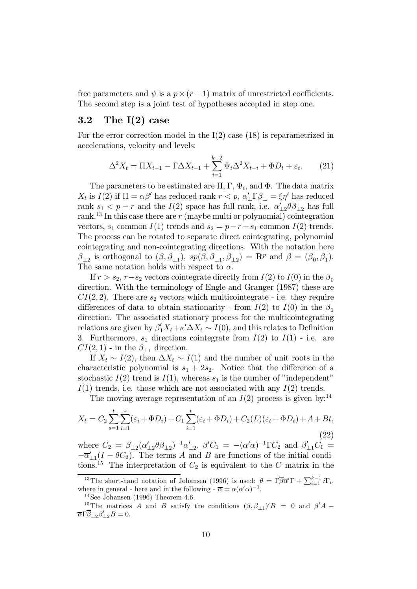free parameters and  $\psi$  is a  $p \times (r-1)$  matrix of unrestricted coefficients. The second step is a joint test of hypotheses accepted in step one.

#### 3.2 The  $I(2)$  case

For the error correction model in the  $I(2)$  case (18) is reparametrized in accelerations, velocity and levels:

$$
\Delta^2 X_t = \Pi X_{t-1} - \Gamma \Delta X_{t-1} + \sum_{i=1}^{k-2} \Psi_i \Delta^2 X_{t-i} + \Phi D_t + \varepsilon_t.
$$
 (21)

The parameters to be estimated are  $\Pi$ ,  $\Gamma$ ,  $\Psi_i$ , and  $\Phi$ . The data matrix  $X_t$  is  $I(2)$  if  $\Pi = \alpha \beta'$  has reduced rank  $r < p$ ,  $\alpha'_{\perp} \Gamma \beta_{\perp} = \xi \eta'$  has reduced rank  $s_1 < p - r$  and the  $I(2)$  space has full rank, i.e.  $\alpha'_{1,2}\theta\beta_{1,2}$  has full rank.<sup>13</sup> In this case there are r (maybe multi or polynomial) cointegration vectors,  $s_1$  common  $I(1)$  trends and  $s_2 = p-r-s_1$  common  $I(2)$  trends. The process can be rotated to separate direct cointegrating, polynomial cointegrating and non-cointegrating directions. With the notation here  $\beta_{\perp 2}$  is orthogonal to  $(\beta, \beta_{\perp 1}), sp(\beta, \beta_{\perp 1}, \beta_{\perp 2}) = \mathbb{R}^p$  and  $\beta = (\beta_0, \beta_1)$ . The same notation holds with respect to  $\alpha$ .

If  $r>s_2, r-s_2$  vectors cointegrate directly from  $I(2)$  to  $I(0)$  in the  $\beta_0$ direction. With the terminology of Engle and Granger (1987) these are  $CI(2, 2)$ . There are  $s_2$  vectors which multicointegrate - i.e. they require differences of data to obtain stationarity - from  $I(2)$  to  $I(0)$  in the  $\beta_1$ direction. The associated stationary process for the multicointegrating relations are given by  $\beta'_1 X_t + \kappa' \Delta X_t \sim I(0)$ , and this relates to Definition 3. Furthermore,  $s_1$  directions cointegrate from  $I(2)$  to  $I(1)$  - i.e. are  $CI(2, 1)$  - in the  $\beta_{11}$  direction.

If  $X_t \sim I(2)$ , then  $\Delta X_t \sim I(1)$  and the number of unit roots in the characteristic polynomial is  $s_1 + 2s_2$ . Notice that the difference of a stochastic  $I(2)$  trend is  $I(1)$ , whereas  $s_1$  is the number of "independent"  $I(1)$  trends, i.e. those which are not associated with any  $I(2)$  trends.

The moving average representation of an  $I(2)$  process is given by:<sup>14</sup>

$$
X_t = C_2 \sum_{s=1}^t \sum_{i=1}^s (\varepsilon_i + \Phi D_i) + C_1 \sum_{i=1}^t (\varepsilon_i + \Phi D_i) + C_2(L)(\varepsilon_t + \Phi D_t) + A + Bt,
$$
\n(22)

where  $C_2 = \beta_{12} (\alpha'_{12} \theta \beta_{12})^{-1} \alpha'_{12}$ ,  $\beta' C_1 = -(\alpha' \alpha)^{-1} \Gamma C_2$  and  $\beta'_{11} C_1 =$  $-\overline{\alpha}_{\perp 1}'(I - \theta C_2)$ . The terms A and B are functions of the initial conditions.<sup>15</sup> The interpretation of  $C_2$  is equivalent to the C matrix in the

<sup>&</sup>lt;sup>13</sup>The short-hand notation of Johansen (1996) is used:  $\theta = \Gamma \overline{\beta} \overline{\alpha}' \Gamma + \sum_{i=1}^{k-1} i \Gamma_i$ , where in general - here and in the following -  $\overline{\alpha} = \alpha(\alpha'\alpha)^{-1}$ .<br><sup>14</sup>See Johansen (1996) Theorem 4.6.

<sup>&</sup>lt;sup>15</sup>The matrices A and B satisfy the conditions  $(\beta, \beta_{11})'B = 0$  and  $\beta' A \overline{\alpha}\Gamma\overline{\beta}_{\perp 2}\beta'_{\perp 2}B=0.$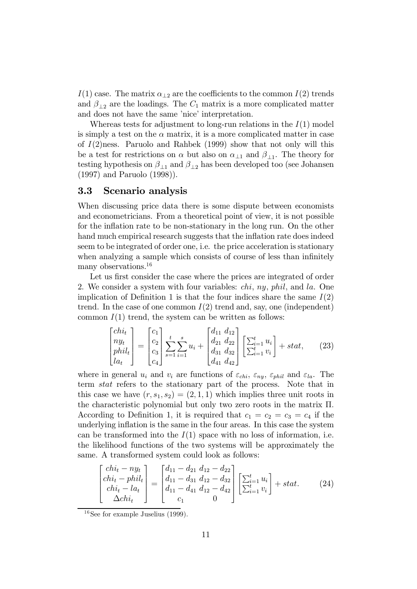$I(1)$  case. The matrix  $\alpha_{\perp 2}$  are the coefficients to the common  $I(2)$  trends and  $\beta_{12}$  are the loadings. The  $C_1$  matrix is a more complicated matter and does not have the same 'nice' interpretation.

Whereas tests for adjustment to long-run relations in the  $I(1)$  model is simply a test on the  $\alpha$  matrix, it is a more complicated matter in case of  $I(2)$ ness. Paruolo and Rahbek (1999) show that not only will this be a test for restrictions on  $\alpha$  but also on  $\alpha_{\perp 1}$  and  $\beta_{\perp 1}$ . The theory for testing hypothesis on  $\beta_{\perp 1}$  and  $\beta_{\perp 2}$  has been developed too (see Johansen (1997) and Paruolo (1998)).

#### 3.3 Scenario analysis

When discussing price data there is some dispute between economists and econometricians. From a theoretical point of view, it is not possible for the inflation rate to be non-stationary in the long run. On the other hand much empirical research suggests that the inflation rate does indeed seem to be integrated of order one, i.e. the price acceleration is stationary when analyzing a sample which consists of course of less than infinitely many observations.<sup>16</sup>

Let us first consider the case where the prices are integrated of order 2. We consider a system with four variables: chi, ny, phil, and la. One implication of Definition 1 is that the four indices share the same  $I(2)$ trend. In the case of one common  $I(2)$  trend and, say, one (independent) common  $I(1)$  trend, the system can be written as follows:

$$
\begin{bmatrix} chi_t \\ n y_t \\ p h i l_t \\ l a_t \end{bmatrix} = \begin{bmatrix} c_1 \\ c_2 \\ c_3 \\ c_4 \end{bmatrix} \sum_{s=1}^t \sum_{i=1}^s u_i + \begin{bmatrix} d_{11} & d_{12} \\ d_{21} & d_{22} \\ d_{31} & d_{32} \\ d_{41} & d_{42} \end{bmatrix} \begin{bmatrix} \sum_{i=1}^t u_i \\ \sum_{i=1}^t v_i \end{bmatrix} + stat,
$$
 (23)

where in general  $u_i$  and  $v_i$  are functions of  $\varepsilon_{chi}$ ,  $\varepsilon_{ny}$ ,  $\varepsilon_{phil}$  and  $\varepsilon_{la}$ . The term stat refers to the stationary part of the process. Note that in this case we have  $(r, s_1, s_2) = (2, 1, 1)$  which implies three unit roots in the characteristic polynomial but only two zero roots in the matrix Π. According to Definition 1, it is required that  $c_1 = c_2 = c_3 = c_4$  if the underlying inflation is the same in the four areas. In this case the system can be transformed into the  $I(1)$  space with no loss of information, i.e. the likelihood functions of the two systems will be approximately the same. A transformed system could look as follows:  $\overline{a}$ 

$$
\begin{bmatrix} chi_t - ny_t \ chi_t -phi_t \end{bmatrix} = \begin{bmatrix} d_{11} - d_{21} d_{12} - d_{22} \ d_{11} - d_{31} d_{12} - d_{32} \ d_{11} - d_{41} d_{12} - d_{42} \end{bmatrix} \begin{bmatrix} \sum_{i=1}^t u_i \ \sum_{i=1}^t v_i \end{bmatrix} + stat.
$$
 (24)  
\n
$$
\Delta chi_t
$$

<sup>16</sup>See for example Juselius (1999).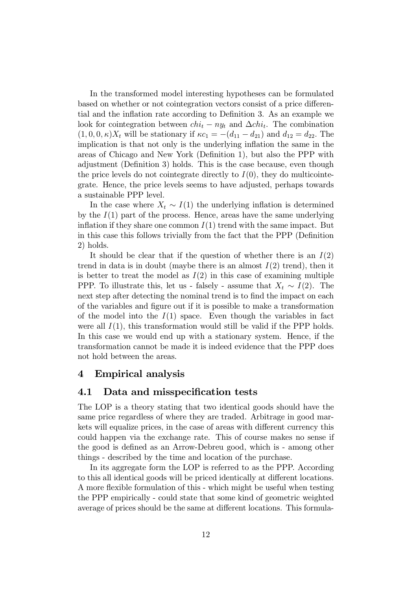In the transformed model interesting hypotheses can be formulated based on whether or not cointegration vectors consist of a price differential and the inflation rate according to Definition 3. As an example we look for cointegration between  $chi_t - ny_t$  and  $\Delta chi_t$ . The combination  $(1, 0, 0, \kappa)X_t$  will be stationary if  $\kappa c_1 = -(d_{11} - d_{21})$  and  $d_{12} = d_{22}$ . The implication is that not only is the underlying inflation the same in the areas of Chicago and New York (Definition 1), but also the PPP with adjustment (Definition 3) holds. This is the case because, even though the price levels do not cointegrate directly to  $I(0)$ , they do multicointegrate. Hence, the price levels seems to have adjusted, perhaps towards a sustainable PPP level.

In the case where  $X_t \sim I(1)$  the underlying inflation is determined by the  $I(1)$  part of the process. Hence, areas have the same underlying inflation if they share one common  $I(1)$  trend with the same impact. But in this case this follows trivially from the fact that the PPP (Definition 2) holds.

It should be clear that if the question of whether there is an  $I(2)$ trend in data is in doubt (maybe there is an almost  $I(2)$  trend), then it is better to treat the model as  $I(2)$  in this case of examining multiple PPP. To illustrate this, let us - falsely - assume that  $X_t \sim I(2)$ . The next step after detecting the nominal trend is to find the impact on each of the variables and figure out if it is possible to make a transformation of the model into the  $I(1)$  space. Even though the variables in fact were all  $I(1)$ , this transformation would still be valid if the PPP holds. In this case we would end up with a stationary system. Hence, if the transformation cannot be made it is indeed evidence that the PPP does not hold between the areas.

### 4 Empirical analysis

#### 4.1 Data and misspecification tests

The LOP is a theory stating that two identical goods should have the same price regardless of where they are traded. Arbitrage in good markets will equalize prices, in the case of areas with different currency this could happen via the exchange rate. This of course makes no sense if the good is defined as an Arrow-Debreu good, which is - among other things - described by the time and location of the purchase.

In its aggregate form the LOP is referred to as the PPP. According to this all identical goods will be priced identically at different locations. A more flexible formulation of this - which might be useful when testing the PPP empirically - could state that some kind of geometric weighted average of prices should be the same at different locations. This formula-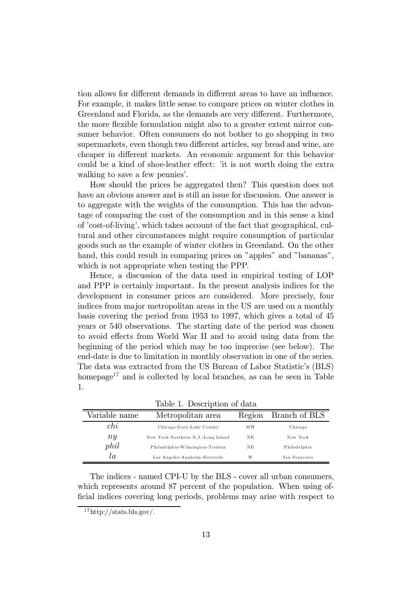tion allows for different demands in different areas to have an influence. For example, it makes little sense to compare prices on winter clothes in Greenland and Florida, as the demands are very different. Furthermore, the more flexible formulation might also to a greater extent mirror consumer behavior. Often consumers do not bother to go shopping in two supermarkets, even though two different articles, say bread and wine, are cheaper in different markets. An economic argument for this behavior could be a kind of shoe-leather effect: 'it is not worth doing the extra walking to save a few pennies'.

How should the prices be aggregated then? This question does not have an obvious answer and is still an issue for discussion. One answer is to aggregate with the weights of the consumption. This has the advantage of comparing the cost of the consumption and in this sense a kind of 'cost-of-living', which takes account of the fact that geographical, cultural and other circumstances might require consumption of particular goods such as the example of winter clothes in Greenland. On the other hand, this could result in comparing prices on "apples" and "bananas", which is not appropriate when testing the PPP.

Hence, a discussion of the data used in empirical testing of LOP and PPP is certainly important. In the present analysis indices for the development in consumer prices are considered. More precisely, four indices from major metropolitan areas in the US are used on a monthly basis covering the period from 1953 to 1997, which gives a total of 45 years or 540 observations. The starting date of the period was chosen to avoid effects from World War II and to avoid using data from the beginning of the period which may be too imprecise (see below). The end-date is due to limitation in monthly observation in one of the series. The data was extracted from the US Bureau of Labor Statistic's (BLS) homepage<sup>17</sup> and is collected by local branches, as can be seen in Table 1.

| Variable name | Metropolitan area                  | Region | Branch of BLS |
|---------------|------------------------------------|--------|---------------|
| chi           | Chicago-Gary-Lake County           | M W    | Chicago       |
| ny            | New York-Northern N.J.-Long Island | NE     | New York      |
| phil          | Philadelphia-Wilmington-Trenton    | NE     | Philadelphia  |
| tα            | Los Angeles-Anaheim-Riverside      | W      | San Francisco |

Table 1. Description of data

The indices - named CPI-U by the BLS - cover all urban consumers, which represents around 87 percent of the population. When using official indices covering long periods, problems may arise with respect to

 $17$ http://stats.bls.gov/.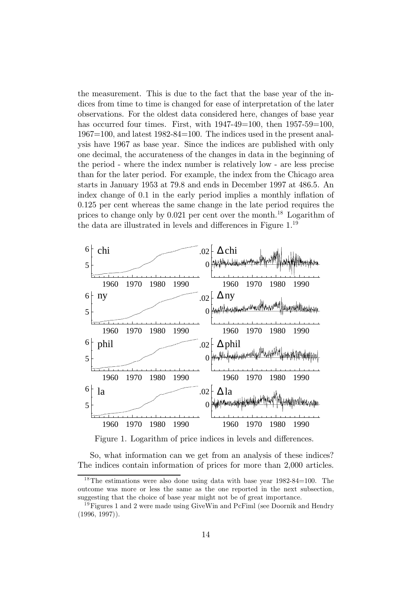the measurement. This is due to the fact that the base year of the indices from time to time is changed for ease of interpretation of the later observations. For the oldest data considered here, changes of base year has occurred four times. First, with  $1947-49=100$ , then  $1957-59=100$ , 1967=100, and latest 1982-84=100. The indices used in the present analysis have 1967 as base year. Since the indices are published with only one decimal, the accurateness of the changes in data in the beginning of the period - where the index number is relatively low - are less precise than for the later period. For example, the index from the Chicago area starts in January 1953 at 79.8 and ends in December 1997 at 486.5. An index change of 0.1 in the early period implies a monthly inflation of 0.125 per cent whereas the same change in the late period requires the prices to change only by 0.021 per cent over the month.<sup>18</sup> Logarithm of the data are illustrated in levels and differences in Figure 1.<sup>19</sup>



Figure 1. Logarithm of price indices in levels and differences.

So, what information can we get from an analysis of these indices? The indices contain information of prices for more than 2,000 articles.

<sup>&</sup>lt;sup>18</sup>The estimations were also done using data with base year  $1982-84=100$ . The outcome was more or less the same as the one reported in the next subsection, suggesting that the choice of base year might not be of great importance.

 $19$  Figures 1 and 2 were made using GiveWin and PcFiml (see Doornik and Hendry (1996, 1997)).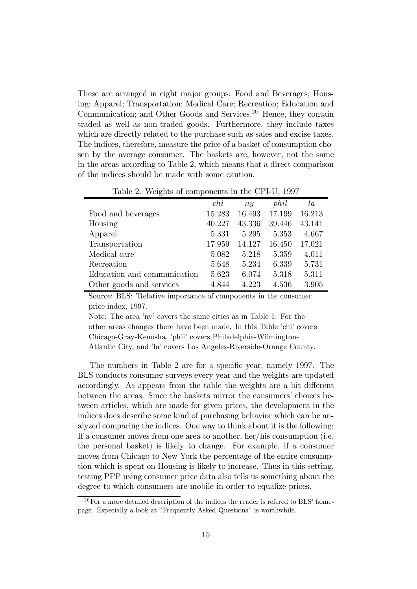These are arranged in eight major groups: Food and Beverages; Housing; Apparel; Transportation; Medical Care; Recreation; Education and Communication; and Other Goods and Services.<sup>20</sup> Hence, they contain traded as well as non-traded goods. Furthermore, they include taxes which are directly related to the purchase such as sales and excise taxes. The indices, therefore, measure the price of a basket of consumption chosen by the average consumer. The baskets are, however, not the same in the areas according to Table 2, which means that a direct comparison of the indices should be made with some caution.

|                             | chi    | $n_{\mathcal{U}}$ | phil   | la     |
|-----------------------------|--------|-------------------|--------|--------|
| Food and beverages          | 15.283 | 16.493            | 17.199 | 16.213 |
| Housing                     | 40.227 | 43.336            | 39.446 | 43.141 |
| Apparel                     | 5.331  | 5.295             | 5.353  | 4.667  |
| Transportation              | 17.959 | 14.127            | 16.450 | 17.021 |
| Medical care                | 5.082  | 5.218             | 5.359  | 4.011  |
| Recreation                  | 5.648  | 5.234             | 6.339  | 5.731  |
| Education and communication | 5.623  | 6.074             | 5.318  | 5.311  |
| Other goods and services    | 4.844  | 4.223             | 4.536  | 3.905  |

Table 2. Weights of components in the CPI-U, 1997

Source: BLS: 'Relative importance of components in the consumer price index, 1997.

Note: The area 'ny' covers the same cities as in Table 1. For the other areas changes there have been made. In this Table 'chi' covers Chicago-Gray-Kenosha, 'phil' covers Philadelphia-Wilmington-Atlantic City, and 'la' covers Los Angeles-Riverside-Orange County.

The numbers in Table 2 are for a specific year, namely 1997. The BLS conducts consumer surveys every year and the weights are updated accordingly. As appears from the table the weights are a bit different between the areas. Since the baskets mirror the consumers' choices between articles, which are made for given prices, the development in the indices does describe some kind of purchasing behavior which can be analyzed comparing the indices. One way to think about it is the following: If a consumer moves from one area to another, her/his consumption (i.e. the personal basket) is likely to change. For example, if a consumer moves from Chicago to New York the percentage of the entire consumption which is spent on Housing is likely to increase. Thus in this setting, testing PPP using consumer price data also tells us something about the degree to which consumers are mobile in order to equalize prices.

 $20$  For a more detailed description of the indices the reader is refered to BLS' homepage. Especially a look at "Frequently Asked Questions" is worthwhile.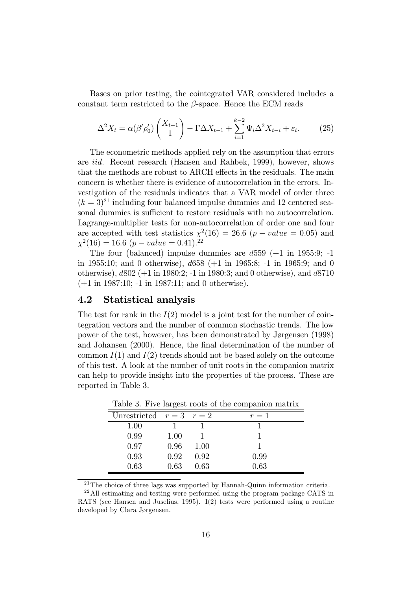Bases on prior testing, the cointegrated VAR considered includes a constant term restricted to the  $\beta$ -space. Hence the ECM reads

$$
\Delta^2 X_t = \alpha(\beta' \rho'_0) \begin{pmatrix} X_{t-1} \\ 1 \end{pmatrix} - \Gamma \Delta X_{t-1} + \sum_{i=1}^{k-2} \Psi_i \Delta^2 X_{t-i} + \varepsilon_t.
$$
 (25)

The econometric methods applied rely on the assumption that errors are iid. Recent research (Hansen and Rahbek, 1999), however, shows that the methods are robust to ARCH effects in the residuals. The main concern is whether there is evidence of autocorrelation in the errors. Investigation of the residuals indicates that a VAR model of order three  $(k = 3)^{21}$  including four balanced impulse dummies and 12 centered seasonal dummies is sufficient to restore residuals with no autocorrelation. Lagrange-multiplier tests for non-autocorrelation of order one and four are accepted with test statistics  $\chi^2(16) = 26.6$  (p – value = 0.05) and  $\chi^2(16) = 16.6 (p-value = 0.41).$ <sup>22</sup>

The four (balanced) impulse dummies are  $d559$  ( $+1$  in 1955:9; -1 in 1955:10; and 0 otherwise), d658 (+1 in 1965:8; -1 in 1965:9; and 0 otherwise), d802 (+1 in 1980:2; -1 in 1980:3; and 0 otherwise), and d8710 (+1 in 1987:10; -1 in 1987:11; and 0 otherwise).

#### 4.2 Statistical analysis

The test for rank in the  $I(2)$  model is a joint test for the number of cointegration vectors and the number of common stochastic trends. The low power of the test, however, has been demonstrated by Jørgensen (1998) and Johansen (2000). Hence, the final determination of the number of common  $I(1)$  and  $I(2)$  trends should not be based solely on the outcome of this test. A look at the number of unit roots in the companion matrix can help to provide insight into the properties of the process. These are reported in Table 3.

| Unrestricted $r=3$ $r=2$ |      |      | $r=1$ |
|--------------------------|------|------|-------|
| 1.00                     |      |      |       |
| 0.99                     | 1.00 |      |       |
| 0.97                     | 0.96 | 1.00 |       |
| 0.93                     | 0.92 | 0.92 | 0.99  |
| 0.63                     | 0.63 | 0.63 | 0.63  |

Table 3. Five largest roots of the companion matrix

<sup>21</sup>The choice of three lags was supported by Hannah-Quinn information criteria.

<sup>22</sup>All estimating and testing were performed using the program package CATS in RATS (see Hansen and Juselius, 1995). I(2) tests were performed using a routine developed by Clara Jørgensen.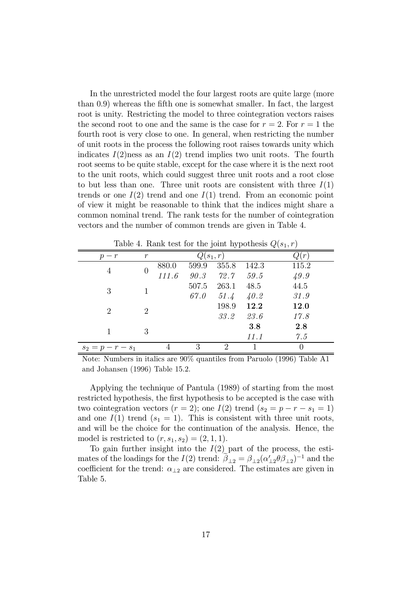In the unrestricted model the four largest roots are quite large (more than 0.9) whereas the fifth one is somewhat smaller. In fact, the largest root is unity. Restricting the model to three cointegration vectors raises the second root to one and the same is the case for  $r = 2$ . For  $r = 1$  the fourth root is very close to one. In general, when restricting the number of unit roots in the process the following root raises towards unity which indicates  $I(2)$ ness as an  $I(2)$  trend implies two unit roots. The fourth root seems to be quite stable, except for the case where it is the next root to the unit roots, which could suggest three unit roots and a root close to but less than one. Three unit roots are consistent with three  $I(1)$ trends or one  $I(2)$  trend and one  $I(1)$  trend. From an economic point of view it might be reasonable to think that the indices might share a common nominal trend. The rank tests for the number of cointegration vectors and the number of common trends are given in Table 4.

Table 4. Rank test for the joint hypothesis  $Q(s_1, r)$ 

| $p - r$                     | $\,r$ |       | $Q(s_1,r)$ | $\ell(r)$ |       |       |
|-----------------------------|-------|-------|------------|-----------|-------|-------|
| 4                           |       | 880.0 | 599.9      | 355.8     | 142.3 | 115.2 |
|                             |       | 111.6 | 90.3       | 72.7      | 59.5  | 49.9  |
| 3                           |       |       | 507.5      | 263.1     | 48.5  | 44.5  |
|                             |       |       | 67.0       | 51.4      | 40.2  | 31.9  |
| $\mathcal{D}_{\mathcal{L}}$ | 2     |       |            | 198.9     | 12.2  | 12.0  |
|                             |       |       |            | 33.2      | 23.6  | 17.8  |
|                             |       |       |            |           | 3.8   | 2.8   |
|                             | 3     |       |            |           | 11.1  | 7.5   |
| $s_2 = p - r - s_1$         |       |       | 3          | റ         |       |       |

Note: Numbers in italics are 90% quantiles from Paruolo (1996) Table A1 and Johansen (1996) Table 15.2.

Applying the technique of Pantula (1989) of starting from the most restricted hypothesis, the first hypothesis to be accepted is the case with two cointegration vectors  $(r = 2)$ ; one  $I(2)$  trend  $(s_2 = p - r - s_1 = 1)$ and one  $I(1)$  trend  $(s_1 = 1)$ . This is consistent with three unit roots, and will be the choice for the continuation of the analysis. Hence, the model is restricted to  $(r, s_1, s_2) = (2, 1, 1)$ .

To gain further insight into the  $I(2)$  part of the process, the estimates of the loadings for the  $I(2)$  trend:  $\tilde{\beta}_{12} = \beta_{12}(\alpha'_{12}\theta\beta_{12})^{-1}$  and the coefficient for the trend:  $\alpha_{\perp 2}$  are considered. The estimates are given in Table 5.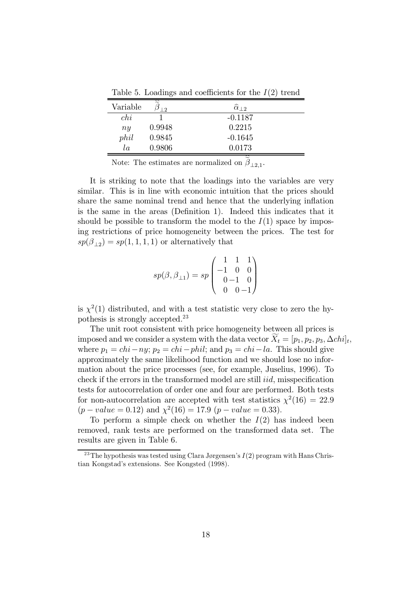Table 5. Loadings and coefficients for the  $I(2)$  trend

| Variable | ≈<br>$\overline{2}$ | $\widehat{\alpha}_{12}$ |
|----------|---------------------|-------------------------|
| chi      |                     | $-0.1187$               |
| ny       | 0.9948              | 0.2215                  |
| phil     | 0.9845              | $-0.1645$               |
| la       | 0.9806              | 0.0173                  |

Note: The estimates are normalized on  $\tilde{\beta}_{1,2,1}$ .

It is striking to note that the loadings into the variables are very similar. This is in line with economic intuition that the prices should share the same nominal trend and hence that the underlying inflation is the same in the areas (Definition 1). Indeed this indicates that it should be possible to transform the model to the  $I(1)$  space by imposing restrictions of price homogeneity between the prices. The test for  $sp(\beta_{12}) = sp(1, 1, 1, 1)$  or alternatively that

$$
sp(\beta, \beta_{\perp 1}) = sp \begin{pmatrix} 1 & 1 & 1 \\ -1 & 0 & 0 \\ 0 & -1 & 0 \\ 0 & 0 & -1 \end{pmatrix}
$$

is  $\chi^2(1)$  distributed, and with a test statistic very close to zero the hypothesis is strongly accepted.<sup>23</sup>

The unit root consistent with price homogeneity between all prices is imposed and we consider a system with the data vector  $\widetilde{X}_t = [p_1, p_2, p_3, \Delta chi]_t$ , where  $p_1 = chi - ny$ ;  $p_2 = chi - phi$ ; and  $p_3 = chi - la$ . This should give approximately the same likelihood function and we should lose no information about the price processes (see, for example, Juselius, 1996). To check if the errors in the transformed model are still *iid*, misspecification tests for autocorrelation of order one and four are performed. Both tests for non-autocorrelation are accepted with test statistics  $\chi^2(16) = 22.9$  $(p-value = 0.12)$  and  $\chi^2(16) = 17.9$   $(p-value = 0.33)$ .

To perform a simple check on whether the  $I(2)$  has indeed been removed, rank tests are performed on the transformed data set. The results are given in Table 6.

<sup>&</sup>lt;sup>23</sup>The hypothesis was tested using Clara Jørgensen's  $I(2)$  program with Hans Christian Kongstad's extensions. See Kongsted (1998).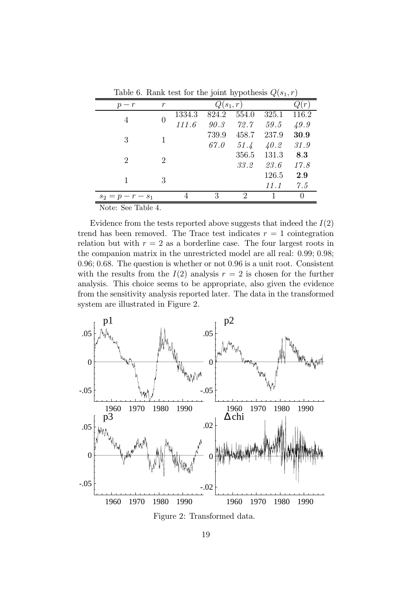|                     |       |                   |       |                             | $\frac{1}{2}$ |       |  |  |  |
|---------------------|-------|-------------------|-------|-----------------------------|---------------|-------|--|--|--|
| $p - r$             | $\,r$ | (r)<br>$Q(s_1,r)$ |       |                             |               |       |  |  |  |
| 4                   |       | 1334.3            | 824.2 | 554.0                       | 325.1         | 116.2 |  |  |  |
|                     |       | 111.6             | 90.3  | 72.7                        | 59.5          | 49.9  |  |  |  |
| 3                   |       |                   | 739.9 | 458.7                       | 237.9         | 30.9  |  |  |  |
|                     |       |                   | 67.0  | 51.4                        | 40.2          | 31.9  |  |  |  |
| 2                   | 2     |                   |       | 356.5                       | 131.3         | 8.3   |  |  |  |
|                     |       |                   |       | 33.2                        | 23.6          | 17.8  |  |  |  |
|                     | 3     |                   |       |                             | 126.5         | 2.9   |  |  |  |
|                     |       |                   |       |                             | 11.1          | 7.5   |  |  |  |
| $s_2 = p - r - s_1$ |       |                   | 3     | $\mathcal{D}_{\mathcal{L}}$ |               |       |  |  |  |

Table 6. Rank test for the joint hypothesis  $O(s_1, r)$ 

Note: See Table 4.

Evidence from the tests reported above suggests that indeed the  $I(2)$ trend has been removed. The Trace test indicates  $r = 1$  cointegration relation but with  $r = 2$  as a borderline case. The four largest roots in the companion matrix in the unrestricted model are all real: 0.99; 0.98; 0.96; 0.68. The question is whether or not 0.96 is a unit root. Consistent with the results from the  $I(2)$  analysis  $r = 2$  is chosen for the further analysis. This choice seems to be appropriate, also given the evidence from the sensitivity analysis reported later. The data in the transformed system are illustrated in Figure 2.



Figure 2: Transformed data.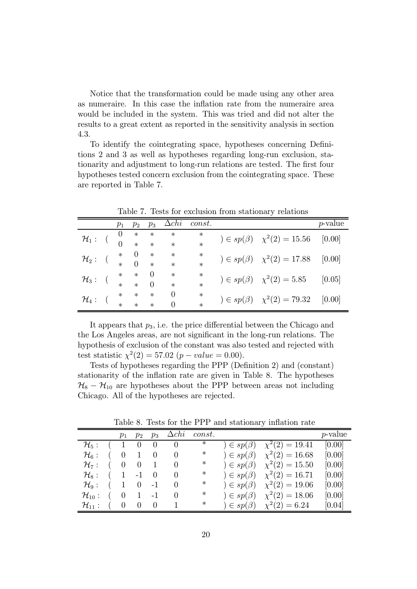Notice that the transformation could be made using any other area as numeraire. In this case the inflation rate from the numeraire area would be included in the system. This was tried and did not alter the results to a great extent as reported in the sensitivity analysis in section 4.3.

To identify the cointegrating space, hypotheses concerning Definitions 2 and 3 as well as hypotheses regarding long-run exclusion, stationarity and adjustment to long-run relations are tested. The first four hypotheses tested concern exclusion from the cointegrating space. These are reported in Table 7.

|                   | $p_{1}$ | $p_2$  | $p_3$    | $\Delta chi$   | const. |                                       | <i>p</i> -value |
|-------------------|---------|--------|----------|----------------|--------|---------------------------------------|-----------------|
| $\mathcal{H}_1$ : |         | $\ast$ | $\ast$   | $\ast$         | $\ast$ | $) \in sp(\beta)$ $\chi^2(2) = 15.56$ | [0.00]          |
|                   |         | $\ast$ | $\ast$   | $\ast$         | $\ast$ |                                       |                 |
| $\mathcal{H}_2$ : | $\ast$  | 0      | $\ast$   | $\ast$         | $\ast$ | $) \in sp(\beta)$ $\chi^2(2) = 17.88$ | [0.00]          |
|                   |         |        | $\ast$   | $\ast$         | $\ast$ |                                       |                 |
| $\mathcal{H}_3$ : | $\ast$  | $\ast$ | $\theta$ | $\ast$         | $\ast$ | $) \in sp(\beta)$ $\chi^2(2) = 5.85$  | [0.05]          |
|                   | $\ast$  | $\ast$ | $\Omega$ | $\ast$         | $\ast$ |                                       |                 |
| $\mathcal{H}_4$ : | $\ast$  | $\ast$ | $\ast$   | 0              | $\ast$ | $) \in sp(\beta)$ $\chi^2(2) = 79.32$ | [0.00]          |
|                   | $\ast$  | $\ast$ | $\ast$   | $\overline{0}$ | $\ast$ |                                       |                 |

Table 7. Tests for exclusion from stationary relations

It appears that  $p_3$ , i.e. the price differential between the Chicago and the Los Angeles areas, are not significant in the long-run relations. The hypothesis of exclusion of the constant was also tested and rejected with test statistic  $\chi^2(2) = 57.02$  (p – value = 0.00).

Tests of hypotheses regarding the PPP (Definition 2) and (constant) stationarity of the inflation rate are given in Table 8. The hypotheses  $\mathcal{H}_8 - \mathcal{H}_{10}$  are hypotheses about the PPP between areas not including Chicago. All of the hypotheses are rejected.

|                            |     | $p_1$ | $p_2$             | $p_3$        | $\Delta chi$ | const. |                          |                                                                                       | <i>p</i> -value |
|----------------------------|-----|-------|-------------------|--------------|--------------|--------|--------------------------|---------------------------------------------------------------------------------------|-----------------|
| $\mathcal{H}_5$ :          |     |       | $(1 \ 0 \ 0)$     |              | - 0          | $\ast$ | $\epsilon$ = $sp(\beta)$ | $\chi^2(2) = 19.41$                                                                   | [0.00]          |
| $\mathcal{H}_6$ :          | ( 0 |       | $1 \quad 0$       |              | $\theta$     | ∗      |                          | $\chi^2(2) = 16.68$                                                                   | [0.00]          |
| $\mathcal{H}_7$ :          | ( 0 |       | $\hspace{0.6cm}0$ | $\mathbf{1}$ | $\theta$     | ∗      |                          | $\Rightarrow$ $sp(\beta)$ $\chi^2(2) = 15.50$                                         | [0.00]          |
| $\mathcal{H}_8$ :          |     |       | $(1 -1 0)$        |              | -0           | ∗      |                          | $) \in sp(\beta)$ $\chi^2(2) = 16.71$                                                 | [0.00]          |
| $\mathcal{H}_9$ :          |     | (1    | $0 -1$            |              | $\theta$     | ∗      | $\theta \in sp(\beta)$   | $\chi^2(2) = 19.06$                                                                   | [0.00]          |
| $\mathcal{H}_{10}$ : $( 0$ |     |       | $1 - 1$           |              | $\theta$     | ∗      |                          | $\chi^2(2) = 18.06$                                                                   | [0.00]          |
| $\mathcal{H}_{11}: (0)$    |     |       | $\overline{0}$    | $\bigcup$    |              | $\ast$ |                          | $\left( \begin{array}{cc} 0 \end{array} \right) \in sp(\beta) \quad \chi^2(2) = 6.24$ | [0.04]          |

Table 8. Tests for the PPP and stationary inflation rate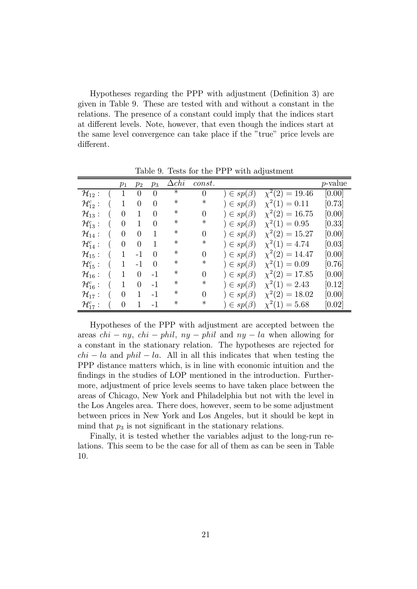Hypotheses regarding the PPP with adjustment (Definition 3) are given in Table 9. These are tested with and without a constant in the relations. The presence of a constant could imply that the indices start at different levels. Note, however, that even though the indices start at the same level convergence can take place if the "true" price levels are different.

|                        |                | $p_1$                    | $p_2$          | $p_3$          | $\Delta chi$ | const.         |                   |                     | <i>p</i> -value |
|------------------------|----------------|--------------------------|----------------|----------------|--------------|----------------|-------------------|---------------------|-----------------|
| $\mathcal{H}_{12}$ :   |                | (1                       | $\overline{0}$ | $\Omega$       | ∗            | $\theta$       | $) \in sp(\beta)$ | $\chi^2(2) = 19.46$ | [0.00]          |
| $\mathcal{H}_{12}^c$ : |                | (1)                      | $\overline{0}$ | $\theta$       | ∗            | ∗              | $) \in sp(\beta)$ | $\chi^2(1) = 0.11$  | [0.73]          |
| $\mathcal{H}_{13}$ :   | $\overline{a}$ | $\overline{\phantom{0}}$ | $\mathbf{1}$   | $\overline{0}$ | $\ast$       | $\overline{0}$ | $) \in sp(\beta)$ | $\chi^2(2) = 16.75$ | [0.00]          |
| $\mathcal{H}_{13}^c$ : |                | ( 0                      | $\mathbf{1}$   | $\overline{0}$ | ∗            | $\ast$         | $\in sp(\beta)$   | $\chi^2(1) = 0.95$  | [0.33]          |
| $\mathcal{H}_{14}$ :   |                | ( 0                      | $\theta$       | 1              | ∗            | $\overline{0}$ | $\in sp(\beta)$   | $\chi^2(2) = 15.27$ | [0.00]          |
| $\mathcal{H}_{14}^c$ : | $\overline{a}$ | $\theta$                 | $\overline{0}$ | 1              | ∗            | ∗              | $) \in sp(\beta)$ | $\chi^2(1) = 4.74$  | [0.03]          |
| $\mathcal{H}_{15}$ :   | $\overline{a}$ | $\mathbf{1}$             | $-1$           | $\Omega$       | ∗            | $\overline{0}$ | $\in sp(\beta)$   | $\chi^2(2) = 14.47$ | [0.00]          |
| $\mathcal{H}_{15}^c$ : | $\sqrt{2}$     | $\mathbf{1}$             | $-1$           | $\Omega$       | ∗            | ∗              | $\in sp(\beta)$   | $\chi^2(1) = 0.09$  | [0.76]          |
| $\mathcal{H}_{16}$ :   | $\overline{a}$ | $\mathbf{1}$             | $\overline{0}$ | $-1$           | ∗            | $\overline{0}$ | $) \in sp(\beta)$ | $\chi^2(2) = 17.85$ | [0.00]          |
| $\mathcal{H}_{16}^c$ : | $\overline{a}$ | $\mathbf{1}$             | $\overline{0}$ | $-1$           | ∗            | ∗              | $) \in sp(\beta)$ | $\chi^2(1) = 2.43$  | [0.12]          |
| $\mathcal{H}_{17}$ :   | $\overline{a}$ | $\theta$                 | $\mathbf{1}$   | $-1$           | ∗            | 0              | $\in sp(\beta)$   | $\chi^2(2) = 18.02$ | [0.00]          |
| $\mathcal{H}_{17}^c$ : |                | $\theta$                 | $\mathbf 1$    | $-1$           | ∗            | ∗              | $\in sp(\beta)$   | $\chi^2(1) = 5.68$  | [0.02]          |

Table 9. Tests for the PPP with adjustment

Hypotheses of the PPP with adjustment are accepted between the areas  $chi - ny$ ,  $chi - phi$ ,  $ny - phi$  and  $ny - la$  when allowing for a constant in the stationary relation. The hypotheses are rejected for  $chi - la$  and  $phi - la$ . All in all this indicates that when testing the PPP distance matters which, is in line with economic intuition and the findings in the studies of LOP mentioned in the introduction. Furthermore, adjustment of price levels seems to have taken place between the areas of Chicago, New York and Philadelphia but not with the level in the Los Angeles area. There does, however, seem to be some adjustment between prices in New York and Los Angeles, but it should be kept in mind that  $p_3$  is not significant in the stationary relations.

Finally, it is tested whether the variables adjust to the long-run relations. This seem to be the case for all of them as can be seen in Table 10.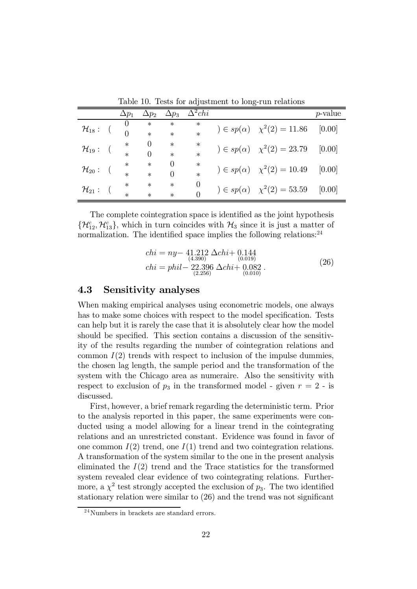|                      |  | $\Delta p_1$ | $\Delta p_2$     | $\Delta p_3$ | $\Delta^2chi$ |                                        | $p$ -value |
|----------------------|--|--------------|------------------|--------------|---------------|----------------------------------------|------------|
|                      |  |              | $\ast$           | $\ast$       | $\ast$        | $) \in sp(\alpha)$ $\chi^2(2) = 11.86$ | [0.00]     |
| $\mathcal{H}_{18}$ : |  | $\ast$       | $\ast$           | $\ast$       |               |                                        |            |
| $\mathcal{H}_{19}$ : |  | $\ast$       | $\left( \right)$ | $\ast$       | $\ast$        | $) \in sp(\alpha)$ $\chi^2(2) = 23.79$ | [0.00]     |
|                      |  | $\ast$       | 0                | $\ast$       | $\ast$        |                                        |            |
| $\mathcal{H}_{20}$ : |  | $\ast$       | $\ast$           | 0            | $\ast$        | $) \in sp(\alpha)$ $\chi^2(2) = 10.49$ | [0.00]     |
|                      |  | $\ast$       | $\ast$           | 0            | $\ast$        |                                        |            |
| $\mathcal{H}_{21}$ : |  | $\ast$       | $\ast$           | $\ast$       | 0             | $) \in sp(\alpha)$ $\chi^2(2) = 53.59$ | [0.00]     |
|                      |  | $\ast$       | $\ast$           | $\ast$       | 0             |                                        |            |

Table 10. Tests for adjustment to long-run relations

The complete cointegration space is identified as the joint hypothesis  $\{\mathcal{H}_{12}^c, \mathcal{H}_{13}^c\}$ , which in turn coincides with  $\mathcal{H}_3$  since it is just a matter of normalization. The identified space implies the following relations: $^{24}$ 

$$
chi = ny- 41.212 \Delta chi + 0.144 \n (4.390) (0.019) \n chi = phi1 - 22.396 \Delta chi + 0.082 \n (26) (2.256) (0.010)
$$

### 4.3 Sensitivity analyses

When making empirical analyses using econometric models, one always has to make some choices with respect to the model specification. Tests can help but it is rarely the case that it is absolutely clear how the model should be specified. This section contains a discussion of the sensitivity of the results regarding the number of cointegration relations and common  $I(2)$  trends with respect to inclusion of the impulse dummies, the chosen lag length, the sample period and the transformation of the system with the Chicago area as numeraire. Also the sensitivity with respect to exclusion of  $p_3$  in the transformed model - given  $r = 2$  - is discussed.

First, however, a brief remark regarding the deterministic term. Prior to the analysis reported in this paper, the same experiments were conducted using a model allowing for a linear trend in the cointegrating relations and an unrestricted constant. Evidence was found in favor of one common  $I(2)$  trend, one  $I(1)$  trend and two cointegration relations. A transformation of the system similar to the one in the present analysis eliminated the  $I(2)$  trend and the Trace statistics for the transformed system revealed clear evidence of two cointegrating relations. Furthermore, a  $\chi^2$  test strongly accepted the exclusion of  $p_3$ . The two identified stationary relation were similar to (26) and the trend was not significant

<sup>&</sup>lt;sup>24</sup>Numbers in brackets are standard errors.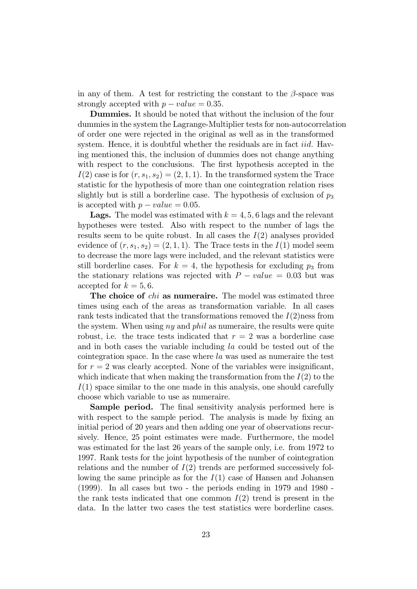in any of them. A test for restricting the constant to the  $\beta$ -space was strongly accepted with  $p-value = 0.35$ .

Dummies. It should be noted that without the inclusion of the four dummies in the system the Lagrange-Multiplier tests for non-autocorrelation of order one were rejected in the original as well as in the transformed system. Hence, it is doubtful whether the residuals are in fact *iid*. Having mentioned this, the inclusion of dummies does not change anything with respect to the conclusions. The first hypothesis accepted in the  $I(2)$  case is for  $(r, s_1, s_2) = (2, 1, 1)$ . In the transformed system the Trace statistic for the hypothesis of more than one cointegration relation rises slightly but is still a borderline case. The hypothesis of exclusion of  $p_3$ is accepted with  $p-value = 0.05$ .

**Lags.** The model was estimated with  $k = 4, 5, 6$  lags and the relevant hypotheses were tested. Also with respect to the number of lags the results seem to be quite robust. In all cases the  $I(2)$  analyses provided evidence of  $(r, s_1, s_2) = (2, 1, 1)$ . The Trace tests in the  $I(1)$  model seem to decrease the more lags were included, and the relevant statistics were still borderline cases. For  $k = 4$ , the hypothesis for excluding  $p_3$  from the stationary relations was rejected with  $P - value = 0.03$  but was accepted for  $k = 5, 6$ .

The choice of *chi* as numeraire. The model was estimated three times using each of the areas as transformation variable. In all cases rank tests indicated that the transformations removed the  $I(2)$ ness from the system. When using  $ny$  and  $phil$  as numeraire, the results were quite robust, i.e. the trace tests indicated that  $r = 2$  was a borderline case and in both cases the variable including la could be tested out of the cointegration space. In the case where la was used as numeraire the test for  $r = 2$  was clearly accepted. None of the variables were insignificant, which indicate that when making the transformation from the  $I(2)$  to the  $I(1)$  space similar to the one made in this analysis, one should carefully choose which variable to use as numeraire.

Sample period. The final sensitivity analysis performed here is with respect to the sample period. The analysis is made by fixing an initial period of 20 years and then adding one year of observations recursively. Hence, 25 point estimates were made. Furthermore, the model was estimated for the last 26 years of the sample only, i.e. from 1972 to 1997. Rank tests for the joint hypothesis of the number of cointegration relations and the number of  $I(2)$  trends are performed successively following the same principle as for the  $I(1)$  case of Hansen and Johansen (1999). In all cases but two - the periods ending in 1979 and 1980 the rank tests indicated that one common  $I(2)$  trend is present in the data. In the latter two cases the test statistics were borderline cases.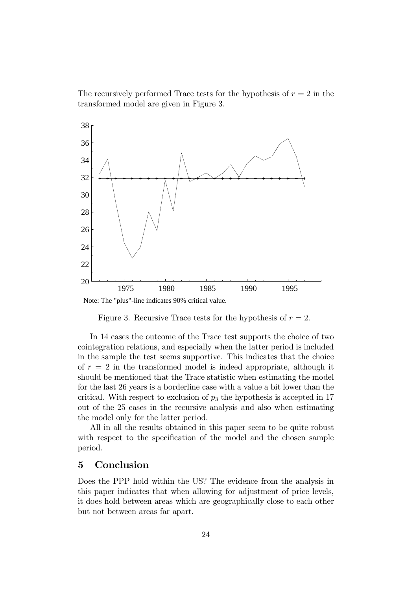The recursively performed Trace tests for the hypothesis of  $r = 2$  in the transformed model are given in Figure 3.



Figure 3. Recursive Trace tests for the hypothesis of  $r = 2$ .

In 14 cases the outcome of the Trace test supports the choice of two cointegration relations, and especially when the latter period is included in the sample the test seems supportive. This indicates that the choice of  $r = 2$  in the transformed model is indeed appropriate, although it should be mentioned that the Trace statistic when estimating the model for the last 26 years is a borderline case with a value a bit lower than the critical. With respect to exclusion of  $p_3$  the hypothesis is accepted in 17 out of the 25 cases in the recursive analysis and also when estimating the model only for the latter period.

All in all the results obtained in this paper seem to be quite robust with respect to the specification of the model and the chosen sample period.

## 5 Conclusion

Does the PPP hold within the US? The evidence from the analysis in this paper indicates that when allowing for adjustment of price levels, it does hold between areas which are geographically close to each other but not between areas far apart.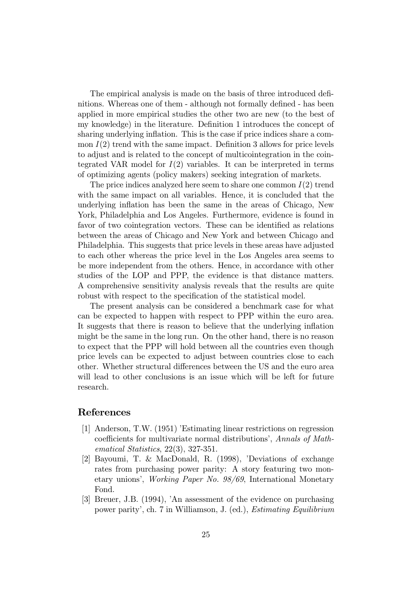The empirical analysis is made on the basis of three introduced definitions. Whereas one of them - although not formally defined - has been applied in more empirical studies the other two are new (to the best of my knowledge) in the literature. Definition 1 introduces the concept of sharing underlying inflation. This is the case if price indices share a common  $I(2)$  trend with the same impact. Definition 3 allows for price levels to adjust and is related to the concept of multicointegration in the cointegrated VAR model for  $I(2)$  variables. It can be interpreted in terms of optimizing agents (policy makers) seeking integration of markets.

The price indices analyzed here seem to share one common  $I(2)$  trend with the same impact on all variables. Hence, it is concluded that the underlying inflation has been the same in the areas of Chicago, New York, Philadelphia and Los Angeles. Furthermore, evidence is found in favor of two cointegration vectors. These can be identified as relations between the areas of Chicago and New York and between Chicago and Philadelphia. This suggests that price levels in these areas have adjusted to each other whereas the price level in the Los Angeles area seems to be more independent from the others. Hence, in accordance with other studies of the LOP and PPP, the evidence is that distance matters. A comprehensive sensitivity analysis reveals that the results are quite robust with respect to the specification of the statistical model.

The present analysis can be considered a benchmark case for what can be expected to happen with respect to PPP within the euro area. It suggests that there is reason to believe that the underlying inflation might be the same in the long run. On the other hand, there is no reason to expect that the PPP will hold between all the countries even though price levels can be expected to adjust between countries close to each other. Whether structural differences between the US and the euro area will lead to other conclusions is an issue which will be left for future research.

#### References

- [1] Anderson, T.W. (1951) 'Estimating linear restrictions on regression coefficients for multivariate normal distributions', Annals of Mathematical Statistics, 22(3), 327-351.
- [2] Bayoumi, T. & MacDonald, R. (1998), 'Deviations of exchange rates from purchasing power parity: A story featuring two monetary unions', Working Paper No. 98/69, International Monetary Fond.
- [3] Breuer, J.B. (1994), 'An assessment of the evidence on purchasing power parity', ch. 7 in Williamson, J. (ed.), Estimating Equilibrium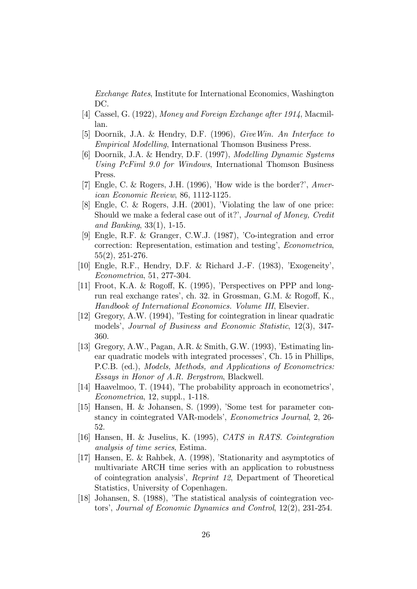Exchange Rates, Institute for International Economics, Washington DC.

- [4] Cassel, G. (1922), Money and Foreign Exchange after 1914, Macmillan.
- [5] Doornik, J.A. & Hendry, D.F. (1996), GiveWin. An Interface to Empirical Modelling, International Thomson Business Press.
- [6] Doornik, J.A. & Hendry, D.F. (1997), Modelling Dynamic Systems Using PcFiml 9.0 for Windows, International Thomson Business Press.
- [7] Engle, C. & Rogers, J.H. (1996), 'How wide is the border?', American Economic Review, 86, 1112-1125.
- [8] Engle, C. & Rogers, J.H. (2001), 'Violating the law of one price: Should we make a federal case out of it?', Journal of Money, Credit and Banking, 33(1), 1-15.
- [9] Engle, R.F. & Granger, C.W.J. (1987), 'Co-integration and error correction: Representation, estimation and testing', Econometrica, 55(2), 251-276.
- [10] Engle, R.F., Hendry, D.F. & Richard J.-F. (1983), 'Exogeneity', Econometrica, 51, 277-304.
- [11] Froot, K.A. & Rogoff, K. (1995), 'Perspectives on PPP and longrun real exchange rates', ch. 32. in Grossman, G.M. & Rogoff, K., Handbook of International Economics. Volume III, Elsevier.
- [12] Gregory, A.W. (1994), 'Testing for cointegration in linear quadratic models', Journal of Business and Economic Statistic, 12(3), 347- 360.
- [13] Gregory, A.W., Pagan, A.R. & Smith, G.W. (1993), 'Estimating linear quadratic models with integrated processes', Ch. 15 in Phillips, P.C.B. (ed.), Models, Methods, and Applications of Econometrics: Essays in Honor of A.R. Bergstrom, Blackwell.
- [14] Haavelmoo, T. (1944), 'The probability approach in econometrics', Econometrica, 12, suppl., 1-118.
- [15] Hansen, H. & Johansen, S. (1999), 'Some test for parameter constancy in cointegrated VAR-models', Econometrics Journal, 2, 26- 52.
- [16] Hansen, H. & Juselius, K. (1995), CATS in RATS. Cointegration analysis of time series, Estima.
- [17] Hansen, E. & Rahbek, A. (1998), 'Stationarity and asymptotics of multivariate ARCH time series with an application to robustness of cointegration analysis', Reprint 12, Department of Theoretical Statistics, University of Copenhagen.
- [18] Johansen, S. (1988), 'The statistical analysis of cointegration vectors', Journal of Economic Dynamics and Control, 12(2), 231-254.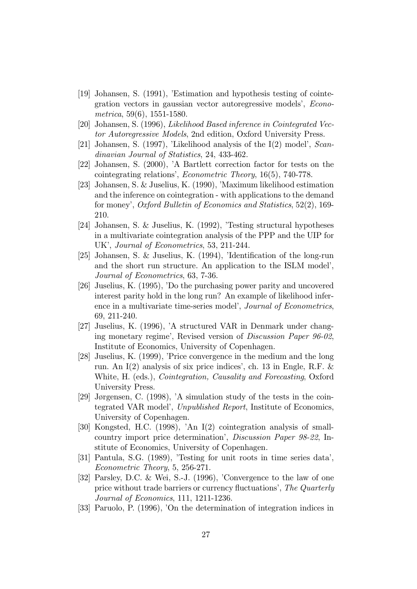- [19] Johansen, S. (1991), 'Estimation and hypothesis testing of cointegration vectors in gaussian vector autoregressive models', Econometrica, 59(6), 1551-1580.
- [20] Johansen, S. (1996), Likelihood Based inference in Cointegrated Vector Autoregressive Models, 2nd edition, Oxford University Press.
- [21] Johansen, S. (1997), 'Likelihood analysis of the I(2) model', Scandinavian Journal of Statistics, 24, 433-462.
- [22] Johansen, S. (2000), 'A Bartlett correction factor for tests on the cointegrating relations', Econometric Theory, 16(5), 740-778.
- [23] Johansen, S. & Juselius, K. (1990), 'Maximum likelihood estimation and the inference on cointegration - with applications to the demand for money', Oxford Bulletin of Economics and Statistics, 52(2), 169- 210.
- [24] Johansen, S. & Juselius, K. (1992), 'Testing structural hypotheses in a multivariate cointegration analysis of the PPP and the UIP for UK', Journal of Econometrics, 53, 211-244.
- [25] Johansen, S. & Juselius, K. (1994), 'Identification of the long-run and the short run structure. An application to the ISLM model', Journal of Econometrics, 63, 7-36.
- [26] Juselius, K. (1995), 'Do the purchasing power parity and uncovered interest parity hold in the long run? An example of likelihood inference in a multivariate time-series model', *Journal of Econometrics*, 69, 211-240.
- [27] Juselius, K. (1996), 'A structured VAR in Denmark under changing monetary regime', Revised version of Discussion Paper 96-02, Institute of Economics, University of Copenhagen.
- [28] Juselius, K. (1999), 'Price convergence in the medium and the long run. An I(2) analysis of six price indices', ch. 13 in Engle, R.F. & White, H. (eds.), Cointegration, Causality and Forecasting, Oxford University Press.
- [29] Jørgensen, C. (1998), 'A simulation study of the tests in the cointegrated VAR model', Unpublished Report, Institute of Economics, University of Copenhagen.
- [30] Kongsted, H.C. (1998), 'An I(2) cointegration analysis of smallcountry import price determination', Discussion Paper 98-22, Institute of Economics, University of Copenhagen.
- [31] Pantula, S.G. (1989), 'Testing for unit roots in time series data', Econometric Theory, 5, 256-271.
- [32] Parsley, D.C. & Wei, S.-J. (1996), 'Convergence to the law of one price without trade barriers or currency fluctuations', The Quarterly Journal of Economics, 111, 1211-1236.
- [33] Paruolo, P. (1996), 'On the determination of integration indices in